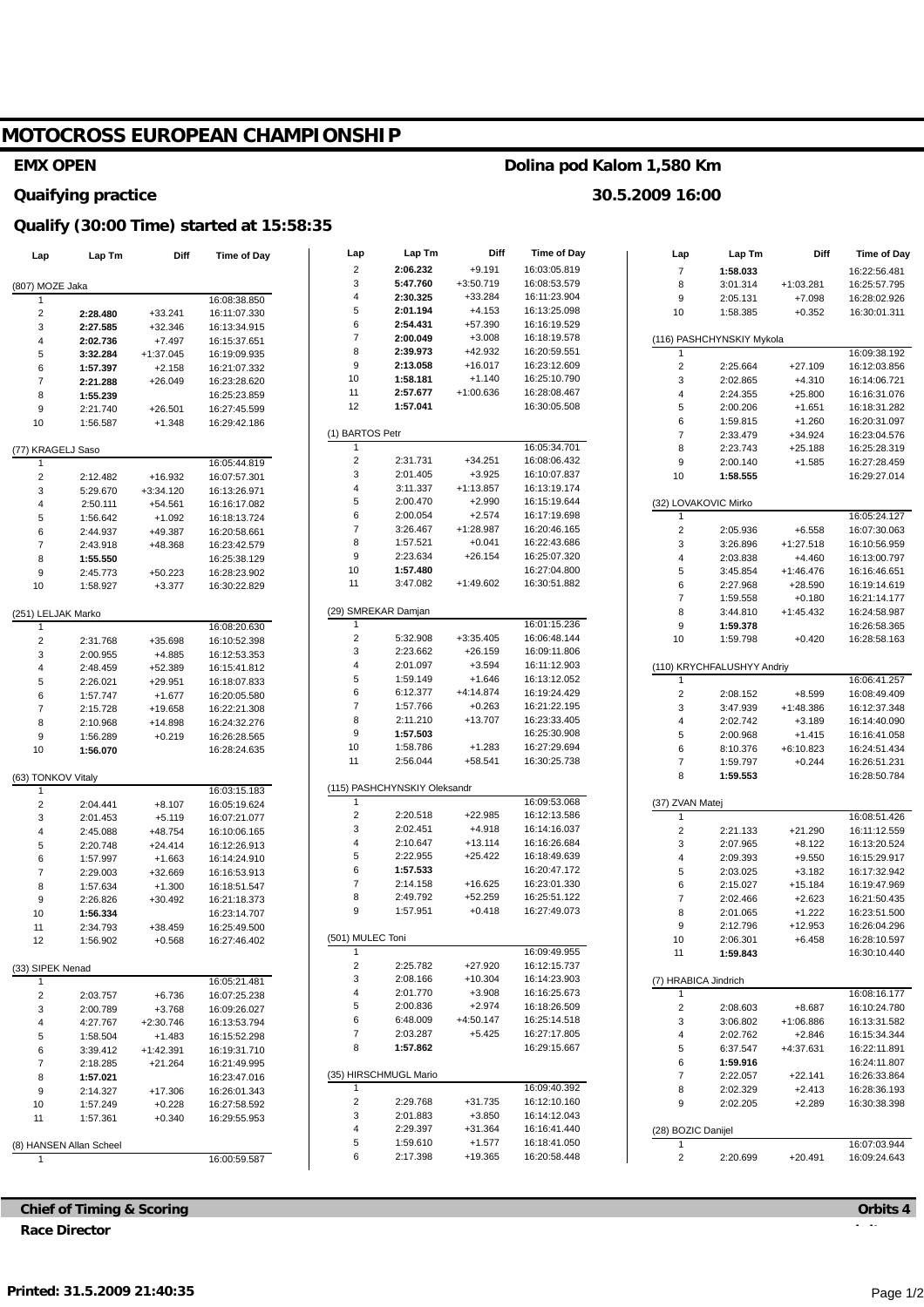# **MOTOCROSS EUROPEAN CHAMPIONSHIP**

### **EMX OPEN**

#### **Quaifying practice**

# **Qualify (30:00 Time) started at 15:58:35**

| Lap                     | Lap Tm                  | <b>Diff</b>        | <b>Time of Day</b>           | Lap                     | Lap Tm                       | Diff                  | <b>Time of Day</b>           | Lap                     | Lap Tm                     | Diff                  | Time of Day                  |
|-------------------------|-------------------------|--------------------|------------------------------|-------------------------|------------------------------|-----------------------|------------------------------|-------------------------|----------------------------|-----------------------|------------------------------|
|                         |                         |                    |                              | $\overline{2}$          | 2:06.232                     | $+9.191$              | 16:03:05.819                 | $\overline{7}$          | 1:58.033                   |                       | 16:22:56.481                 |
| (807) MOZE Jaka         |                         |                    |                              | 3                       | 5:47.760                     | $+3:50.719$           | 16:08:53.579                 | 8                       | 3:01.314                   | +1:03.281             | 16:25:57.795                 |
| -1                      |                         |                    | 16:08:38.850                 | $\overline{4}$          | 2:30.325                     | $+33.284$             | 16:11:23.904                 | $\boldsymbol{9}$        | 2:05.131                   | $+7.098$              | 16:28:02.926                 |
| $\overline{\mathbf{c}}$ | 2:28.480                | $+33.241$          | 16:11:07.330                 | 5                       | 2:01.194                     | $+4.153$              | 16:13:25.098                 | 10                      | 1:58.385                   | $+0.352$              | 16:30:01.311                 |
| 3                       | 2:27.585                | $+32.346$          | 16:13:34.915                 | 6                       | 2:54.431                     | $+57.390$             | 16:16:19.529                 |                         |                            |                       |                              |
| 4                       | 2:02.736                | $+7.497$           | 16:15:37.651                 | $\overline{7}$          | 2:00.049                     | $+3.008$              | 16:18:19.578                 |                         | (116) PASHCHYNSKIY Mykola  |                       |                              |
| 5                       | 3:32.284                | $+1:37.045$        | 16:19:09.935                 | 8                       | 2:39.973                     | +42.932               | 16:20:59.551                 | 1                       |                            |                       | 16:09:38.192                 |
| 6                       | 1:57.397                | $+2.158$           | 16:21:07.332                 | $\boldsymbol{9}$        | 2:13.058                     | $+16.017$             | 16:23:12.609                 | $\sqrt{2}$              | 2:25.664                   | $+27.109$             | 16:12:03.856                 |
| $\overline{7}$          | 2:21.288                | $+26.049$          | 16:23:28.620                 | 10                      | 1:58.181                     | $+1.140$              | 16:25:10.790                 | 3                       | 2:02.865                   | $+4.310$              | 16:14:06.721                 |
| 8                       | 1:55.239                |                    | 16:25:23.859                 | 11                      | 2:57.677                     | +1:00.636             | 16:28:08.467                 | $\sqrt{4}$              | 2:24.355                   | $+25.800$             | 16:16:31.076                 |
| 9                       | 2:21.740                | $+26.501$          | 16:27:45.599                 | 12                      | 1:57.041                     |                       | 16:30:05.508                 | $\,$ 5 $\,$             | 2:00.206                   | $+1.651$              | 16:18:31.282                 |
| 10                      | 1:56.587                | $+1.348$           | 16:29:42.186                 |                         |                              |                       |                              | 6                       | 1:59.815                   | $+1.260$              | 16:20:31.097                 |
|                         |                         |                    | $\mathbf{1}$                 | (1) BARTOS Petr         |                              | 16:05:34.701          | $\overline{7}$               | 2:33.479                | $+34.924$                  | 16:23:04.576          |                              |
| (77) KRAGELJ Saso       |                         |                    |                              | $\sqrt{2}$              | 2:31.731                     | $+34.251$             | 16:08:06.432                 | 8                       | 2:23.743                   | $+25.188$             | 16:25:28.319                 |
| 1                       |                         |                    | 16:05:44.819                 | 3                       | 2:01.405                     | $+3.925$              | 16:10:07.837                 | $\boldsymbol{9}$        | 2:00.140                   | $+1.585$              | 16:27:28.459                 |
| $\sqrt{2}$              | 2:12.482                | $+16.932$          | 16:07:57.301                 | 4                       | 3:11.337                     | $+1:13.857$           | 16:13:19.174                 | 10                      | 1:58.555                   |                       | 16:29:27.014                 |
| 3                       | 5:29.670                | $+3:34.120$        | 16:13:26.971                 | 5                       | 2:00.470                     | $+2.990$              | 16:15:19.644                 |                         | (32) LOVAKOVIC Mirko       |                       |                              |
| $\boldsymbol{\Delta}$   | 2:50.111                | $+54.561$          | 16:16:17.082                 | $\,6$                   | 2:00.054                     | $+2.574$              | 16:17:19.698                 | $\overline{1}$          |                            |                       | 16:05:24.127                 |
| 5<br>6                  | 1:56.642                | $+1.092$           | 16:18:13.724                 | $\overline{7}$          | 3:26.467                     | $+1:28.987$           | 16:20:46.165                 | $\sqrt{2}$              | 2:05.936                   | $+6.558$              | 16:07:30.063                 |
| $\overline{7}$          | 2:44.937<br>2:43.918    | +49.387<br>+48.368 | 16:20:58.661<br>16:23:42.579 | 8                       | 1:57.521                     | $+0.041$              | 16:22:43.686                 | 3                       | 3:26.896                   | $+1:27.518$           | 16:10:56.959                 |
| 8                       | 1:55.550                |                    | 16:25:38.129                 | $\boldsymbol{9}$        | 2:23.634                     | $+26.154$             | 16:25:07.320                 | 4                       | 2:03.838                   | $+4.460$              | 16:13:00.797                 |
| 9                       | 2:45.773                | $+50.223$          | 16:28:23.902                 | 10                      | 1:57.480                     |                       | 16:27:04.800                 | 5                       | 3:45.854                   | $+1:46.476$           | 16:16:46.651                 |
| 10                      | 1:58.927                | $+3.377$           | 16:30:22.829                 | 11                      | 3:47.082                     | $+1:49.602$           | 16:30:51.882                 | 6                       | 2:27.968                   | $+28.590$             | 16:19:14.619                 |
|                         |                         |                    |                              |                         |                              |                       |                              | $\overline{7}$          | 1:59.558                   | $+0.180$              | 16:21:14.177                 |
| (251) LELJAK Marko      |                         |                    |                              |                         | (29) SMREKAR Damjan          |                       |                              | 8                       | 3:44.810                   | $+1:45.432$           | 16:24:58.987                 |
| 1                       |                         |                    | 16:08:20.630                 | $\overline{1}$          |                              |                       | 16:01:15.236                 | $\boldsymbol{9}$        | 1:59.378                   |                       | 16:26:58.365                 |
| $\overline{c}$          | 2:31.768                | +35.698            | 16:10:52.398                 | $\overline{2}$          | 5:32.908                     | $+3:35.405$           | 16:06:48.144                 | 10                      | 1:59.798                   | $+0.420$              | 16:28:58.163                 |
| 3                       | 2:00.955                | $+4.885$           | 16:12:53.353                 | 3                       | 2:23.662                     | $+26.159$             | 16:09:11.806                 |                         |                            |                       |                              |
| 4                       | 2:48.459                | +52.389            | 16:15:41.812                 | 4                       | 2:01.097                     | $+3.594$              | 16:11:12.903                 |                         | (110) KRYCHFALUSHYY Andriy |                       |                              |
| 5                       | 2:26.021                | $+29.951$          | 16:18:07.833                 | $\overline{5}$          | 1:59.149                     | $+1.646$              | 16:13:12.052                 | $\mathbf{1}$            |                            |                       | 16:06:41.257                 |
| 6                       | 1:57.747                | $+1.677$           | 16:20:05.580                 | 6                       | 6:12.377                     | $+4:14.874$           | 16:19:24.429                 | $\sqrt{2}$              | 2:08.152                   | $+8.599$              | 16:08:49.409                 |
| $\overline{7}$          | 2:15.728                | +19.658            | 16:22:21.308                 | $\overline{7}$          | 1:57.766                     | $+0.263$              | 16:21:22.195                 | 3                       | 3:47.939                   | $+1:48.386$           | 16:12:37.348                 |
| 8                       | 2:10.968                | $+14.898$          | 16:24:32.276                 | 8                       | 2:11.210                     | $+13.707$             | 16:23:33.405                 | 4                       | 2:02.742                   | $+3.189$              | 16:14:40.090                 |
| 9                       | 1:56.289                | $+0.219$           | 16:26:28.565                 | $\boldsymbol{9}$        | 1:57.503                     |                       | 16:25:30.908                 | 5                       | 2:00.968                   | $+1.415$              | 16:16:41.058                 |
| 10                      | 1:56.070                |                    | 16:28:24.635                 | 10                      | 1:58.786                     | $+1.283$              | 16:27:29.694                 | 6                       | 8:10.376                   | $+6:10.823$           | 16:24:51.434                 |
|                         |                         |                    |                              | 11                      | 2:56.044                     | $+58.541$             | 16:30:25.738                 | $\boldsymbol{7}$        | 1:59.797                   | $+0.244$              | 16:26:51.231                 |
| (63) TONKOV Vitaly      |                         |                    |                              |                         |                              |                       | 8                            | 1:59.553                |                            | 16:28:50.784          |                              |
| $\mathbf{1}$            |                         |                    | 16:03:15.183                 |                         | (115) PASHCHYNSKIY Oleksandr |                       |                              |                         |                            |                       |                              |
| $\sqrt{2}$              | 2:04.441                | $+8.107$           | 16:05:19.624                 | 1                       |                              |                       | 16:09:53.068                 |                         | (37) ZVAN Matej            |                       |                              |
| 3                       | 2:01.453                | $+5.119$           | 16:07:21.077                 | $\sqrt{2}$              | 2:20.518                     | $+22.985$             | 16:12:13.586                 | $\mathbf{1}$            |                            |                       | 16:08:51.426                 |
| 4                       | 2:45.088                | +48.754            | 16:10:06.165                 | 3<br>4                  | 2:02.451<br>2:10.647         | $+4.918$<br>$+13.114$ | 16:14:16.037<br>16:16:26.684 | $\sqrt{2}$              | 2:21.133                   | $+21.290$             | 16:11:12.559                 |
| 5                       | 2:20.748                | $+24.414$          | 16:12:26.913                 | $\overline{5}$          | 2:22.955                     | $+25.422$             | 16:18:49.639                 | 3                       | 2:07.965                   | $+8.122$              | 16:13:20.524                 |
| 6                       | 1:57.997                | $+1.663$           | 16:14:24.910                 | 6                       | 1:57.533                     |                       | 16:20:47.172                 | 4<br>5                  | 2:09.393                   | $+9.550$              | 16:15:29.917                 |
| $\overline{7}$          | 2:29.003                | +32.669            | 16:16:53.913                 | $\overline{7}$          | 2:14.158                     | $+16.625$             | 16:23:01.330                 | 6                       | 2:03.025<br>2:15.027       | $+3.182$<br>$+15.184$ | 16:17:32.942<br>16:19:47.969 |
| 8                       | 1:57.634                | $+1.300$           | 16:18:51.547                 | 8                       | 2:49.792                     | $+52.259$             | 16:25:51.122                 | $\overline{7}$          | 2:02.466                   | $+2.623$              | 16:21:50.435                 |
| 9<br>10                 | 2:26.826<br>1:56.334    | $+30.492$          | 16:21:18.373<br>16:23:14.707 | 9                       | 1:57.951                     | $+0.418$              | 16:27:49.073                 | 8                       | 2:01.065                   | $+1.222$              | 16:23:51.500                 |
| 11                      | 2:34.793                | +38.459            | 16:25:49.500                 |                         |                              |                       |                              | $\boldsymbol{9}$        | 2:12.796                   | $+12.953$             | 16:26:04.296                 |
| 12                      | 1:56.902                | $+0.568$           | 16:27:46.402                 |                         | (501) MULEC Toni             |                       |                              | 10                      | 2:06.301                   | $+6.458$              | 16:28:10.597                 |
|                         |                         |                    |                              | $\mathbf{1}$            |                              |                       | 16:09:49.955                 | 11                      | 1:59.843                   |                       | 16:30:10.440                 |
| (33) SIPEK Nenad        |                         |                    |                              | $\overline{\mathbf{c}}$ | 2:25.782                     | $+27.920$             | 16:12:15.737                 |                         |                            |                       |                              |
| -1                      |                         |                    | 16:05:21.481                 | 3                       | 2:08.166                     | $+10.304$             | 16:14:23.903                 |                         | (7) HRABICA Jindrich       |                       |                              |
| $\overline{\mathbf{c}}$ | 2:03.757                | $+6.736$           | 16:07:25.238                 | $\overline{4}$          | 2:01.770                     | $+3.908$              | 16:16:25.673                 |                         |                            |                       | 16:08:16.177                 |
| 3                       | 2:00.789                | $+3.768$           | 16:09:26.027                 | 5                       | 2:00.836                     | $+2.974$              | 16:18:26.509                 | $\overline{\mathbf{c}}$ | 2:08.603                   | $+8.687$              | 16:10:24.780                 |
|                         | 4:27.767                | $+2:30.746$        | 16:13:53.794                 | 6                       | 6:48.009                     | $+4:50.147$           | 16:25:14.518                 | 3                       | 3:06.802                   | +1:06.886             | 16:13:31.582                 |
| 5                       | 1:58.504                | $+1.483$           | 16:15:52.298                 | $\overline{7}$          | 2:03.287                     | $+5.425$              | 16:27:17.805                 | 4                       | 2:02.762                   | $+2.846$              | 16:15:34.344                 |
| 6                       | 3:39.412                | $+1:42.391$        | 16:19:31.710                 | 8                       | 1:57.862                     |                       | 16:29:15.667                 | 5                       | 6:37.547                   | +4:37.631             | 16:22:11.891                 |
| $\overline{7}$          | 2:18.285                | $+21.264$          | 16:21:49.995                 |                         |                              |                       |                              | 6                       | 1:59.916                   |                       | 16:24:11.807                 |
| 8                       | 1:57.021                |                    | 16:23:47.016                 |                         | (35) HIRSCHMUGL Mario        |                       |                              | $\boldsymbol{7}$        | 2:22.057                   | $+22.141$             | 16:26:33.864                 |
| 9                       | 2:14.327                | $+17.306$          | 16:26:01.343                 | 1                       |                              |                       | 16:09:40.392                 | 8                       | 2:02.329                   | $+2.413$              | 16:28:36.193                 |
| 10                      | 1:57.249                | $+0.228$           | 16:27:58.592                 | $\sqrt{2}$              | 2:29.768                     | +31.735               | 16:12:10.160                 | 9                       | 2:02.205                   | $+2.289$              | 16:30:38.398                 |
| 11                      | 1:57.361                | $+0.340$           | 16:29:55.953                 | 3                       | 2:01.883                     | $+3.850$              | 16:14:12.043                 |                         |                            |                       |                              |
|                         |                         |                    |                              | 4                       | 2:29.397                     | +31.364               | 16:16:41.440                 |                         | (28) BOZIC Danijel         |                       |                              |
|                         | (8) HANSEN Allan Scheel |                    |                              | 5                       | 1:59.610                     | $+1.577$              | 16:18:41.050                 | 1                       |                            |                       | 16:07:03.944                 |
| $\mathbf{1}$            |                         |                    | 16:00:59.587                 | 6                       | 2:17.398                     | +19.365               | 16:20:58.448                 | $\overline{c}$          | 2:20.699                   | $+20.491$             | 16:09:24.643                 |

**Chief of Timing & Scoring Race Director**

# **Orbits 4**

### **Dolina pod Kalom 1,580 Km**

**30.5.2009 16:00**